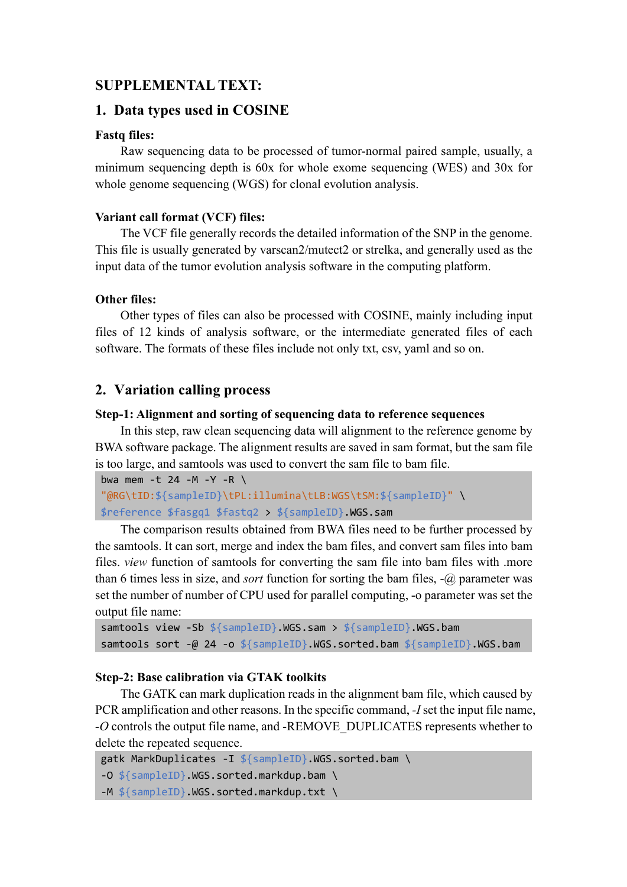## **SUPPLEMENTAL TEXT:**

## **1. Data types used in COSINE**

## **Fastq files:**

Raw sequencing data to be processed of tumor-normal paired sample, usually, a minimum sequencing depth is 60x for whole exome sequencing (WES) and 30x for whole genome sequencing (WGS) for clonal evolution analysis.

## **Variant call format (VCF) files:**

The VCF file generally records the detailed information of the SNP in the genome. This file is usually generated by varscan2/mutect2 or strelka, and generally used as the input data of the tumor evolution analysis software in the computing platform.

## **Other files:**

Other types of files can also be processed with COSINE, mainly including input files of 12 kinds of analysis software, or the intermediate generated files of each software. The formats of these files include not only txt, csv, yaml and so on.

## **2. Variation calling process**

## **Step-1: Alignment and sorting of sequencing data to reference sequences**

In this step, raw clean sequencing data will alignment to the reference genome by BWA software package. The alignment results are saved in sam format, but the sam file is too large, and samtools was used to convert the sam file to bam file.

```
bwa mem -t 24 -M -Y -R \setminus"@RG\tID:${sampleID}\tPL:illumina\tLB:WGS\tSM:${sampleID}" \
$reference $fasgq1 $fastq2 > ${sampleID}.WGS.sam
```
The comparison results obtained from BWA files need to be further processed by the samtools. It can sort, merge and index the bam files, and convert sam files into bam files. *view* function of samtools for converting the sam file into bam files with .more than 6 times less in size, and *sort* function for sorting the bam files, -@ parameter was set the number of number of CPU used for parallel computing, -o parameter was set the output file name:

```
samtools view -Sb ${sampleID}.WGS.sam > ${sampleID}.WGS.bam
samtools sort -@ 24 -o ${sampleID}.WGS.sorted.bam ${sampleID}.WGS.bam
```
## **Step-2: Base calibration via GTAK toolkits**

The GATK can mark duplication reads in the alignment bam file, which caused by PCR amplification and other reasons. In the specific command, *-I* set the input file name, *-O* controls the output file name, and -REMOVE\_DUPLICATES represents whether to delete the repeated sequence.

```
gatk MarkDuplicates -I ${sampleID}.WGS.sorted.bam \
-O ${sampleID}.WGS.sorted.markdup.bam \
-M ${sampleID}.WGS.sorted.markdup.txt \
```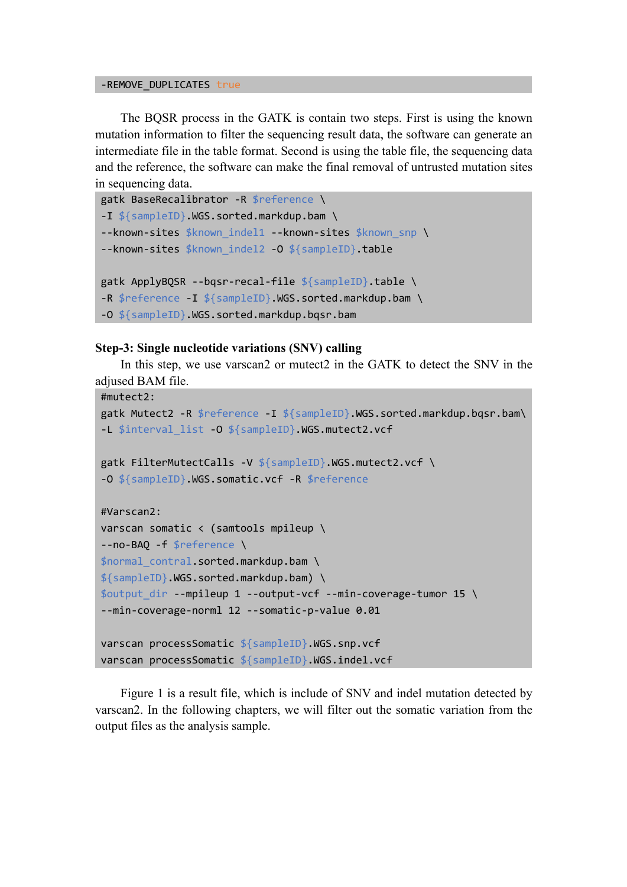#### -REMOVE DUPLICATES true

The BQSR process in the GATK is contain two steps. First is using the known mutation information to filter the sequencing result data, the software can generate an intermediate file in the table format. Second is using the table file, the sequencing data and the reference, the software can make the final removal of untrusted mutation sites in sequencing data.

```
gatk BaseRecalibrator -R $reference \
-I ${sampleID}.WGS.sorted.markdup.bam \
--known-sites $known indel1 --known-sites $known snp \
--known-sites $known indel2 -O ${sampleID}.table
gatk ApplyBQSR --bqsr-recal-file ${sampleID}.table \
-R $reference -I ${sampleID}.WGS.sorted.markdup.bam \
-O ${sampleID}.WGS.sorted.markdup.bqsr.bam
```
#### **Step-3: Single nucleotide variations (SNV) calling**

In this step, we use varscan2 or mutect2 in the GATK to detect the SNV in the adjused BAM file.

```
#mutect2:
gatk Mutect2 -R $reference -I ${sampleID}.WGS.sorted.markdup.bqsr.bam\
-L $interval_list -O ${sampleID}.WGS.mutect2.vcf
gatk FilterMutectCalls -V ${sampleID}.WGS.mutect2.vcf \
-O ${sampleID}.WGS.somatic.vcf -R $reference
#Varscan2:
varscan somatic < (samtools mpileup \
--no-BAQ -f $reference \
$normal contral.sorted.markdup.bam \
${sampleID}.WGS.sorted.markdup.bam) \
$output_dir --mpileup 1 --output-vcf --min-coverage-tumor 15 \
--min-coverage-norml 12 --somatic-p-value 0.01
varscan processSomatic ${sampleID}.WGS.snp.vcf
varscan processSomatic ${sampleID}.WGS.indel.vcf
```
Figure 1 is a result file, which is include of SNV and indel mutation detected by varscan2. In the following chapters, we will filter out the somatic variation from the output files as the analysis sample.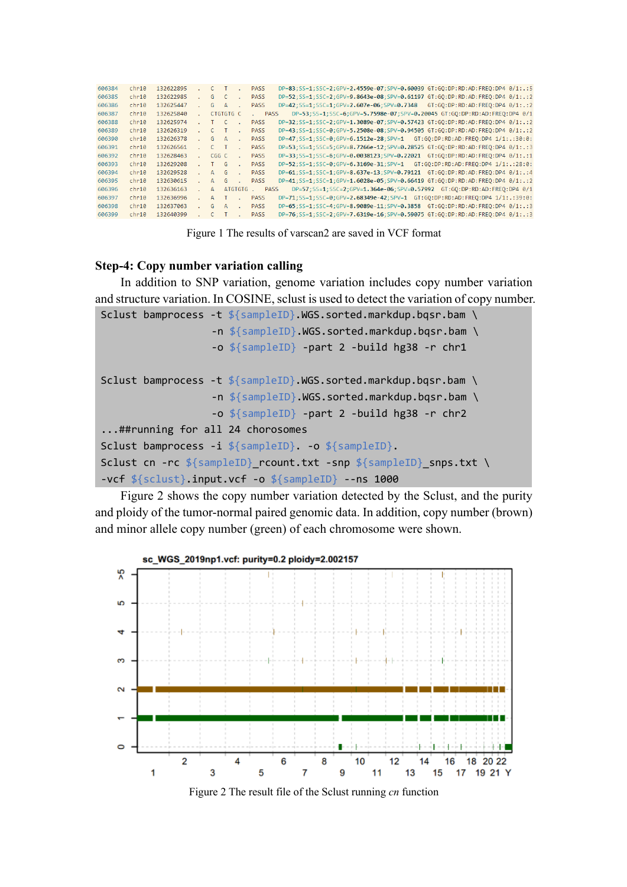| 606384 | chr10 | 132622895 | C.    | т         |                | <b>PASS</b> | DP=83:SS=1:SSC=2:GPV=2.4559e-07:SPV=0.60039 GT:GO:DP:RD:AD:FREO:DP4 0/1:.:5                        |
|--------|-------|-----------|-------|-----------|----------------|-------------|----------------------------------------------------------------------------------------------------|
| 606385 | chr10 | 132622985 | G.    |           |                | <b>PASS</b> | DP=52:SS=1:SSC=2:GPV=9.8643e-08:SPV=0.61197 GT:GO:DP:RD:AD:FREO:DP4 0/1:.:2                        |
| 606386 | chr10 | 132625447 | G.    | $\Delta$  |                | <b>PASS</b> | DP=42; SS=1; SSC=1; GPV=2.607e-06; SPV=0.7348<br>GT:GO:DP:RD:AD: FREO:DP4 0/1: .:2                 |
| 606387 | chr10 | 132625840 |       | CTGTGTG C |                |             | DP=53; SS=1; SSC=6; GPV=5, 7598e-07; SPV=0, 20045 GT: GO: DP: RD: AD: FREO: DP4 0/1<br><b>PASS</b> |
| 606388 | chr10 | 132625974 | т.    |           |                | <b>PASS</b> | DP=32:SS=1:SSC=2:GPV=1.3089e-07:SPV=0.57423 GT:GO:DP:RD:AD:FREO:DP4 0/1:.:2                        |
| 606389 | chr10 | 132626319 |       |           |                | <b>PASS</b> | DP=43:SS=1:SSC=0:GPV=5.2508e-08:SPV=0.94505 GT:GO:DP:RD:AD:FREO:DP4 0/1:.:2                        |
| 606390 | chr10 | 132626378 | G.    | $\Delta$  |                | <b>PASS</b> | $DP=47;$ SS=1; SSC=0; GPV=6.1512e-28; SPV=1<br>GT:GO:DP:RD:AD:FREO:DP4 1/1:.:30:0:                 |
| 606391 | chr10 | 132626561 |       | $\top$    |                | <b>PASS</b> | DP=53;SS=1;SSC=5;GPV=8.7266e-12;SPV=0.28525 GT:GO:DP:RD:AD:FREO:DP4 0/1:.:3                        |
| 606392 | chr10 | 132628463 | CGG C |           |                | <b>PASS</b> | DP=33:SS=1:SSC=6:GPV=0.0038123:SPV=0.22021 GT:GO:DP:RD:AD:FREO:DP4 0/1:.:1                         |
| 606393 | chr10 | 132629208 |       | G         |                | <b>PASS</b> | $DP = 52 : SS = 1 : SSC = 0 : GPU = 6.3169e - 31 : SPV = 1$<br>GT:GO:DP:RD:AD:FREO:DP4 1/1:.:28:0: |
| 606394 | chr10 | 132629528 | А     | G         |                | <b>PASS</b> | DP=61;SS=1;SSC=1;GPV=8.637e-13;SPV=0.79121 GT:GO:DP:RD:AD:FREO:DP4 0/1:.:4                         |
| 606395 | chr10 | 132630615 | А     | G         |                | <b>PASS</b> | DP=41;SS=1;SSC=1;GPV=1,6028e-05;SPV=0,66419 GT:GO:DP:RD:AD:FREO:DP4 0/1:.:2                        |
| 606396 | chr10 | 132636163 | Δ.    |           | <b>ATGTGTG</b> |             | DP=57;SS=1;SSC=2;GPV=1.364e-06;SPV=0.57992 GT:GO:DP:RD:AD:FREO:DP4 0/1<br><b>PASS</b>              |
| 606397 | chr10 | 132636996 | Δ.    |           |                | <b>PASS</b> | DP=71;SS=1;SSC=0;GPV=2.68349e-42;SPV=1 GT:GQ:DP:RD:AD:FREQ:DP4 1/1:.:39:0:                         |
| 606398 | chr10 | 132637063 | G     | $\Delta$  |                | <b>PASS</b> | DP=65:SS=1:SSC=4:GPV=8,9089e-11:SPV=0,3858 GT:GO:DP:RD:AD:FREO:DP4 0/1:.:3                         |
| 606399 | chr10 | 132640399 |       |           |                | <b>PASS</b> | DP=76;SS=1;SSC=2;GPV=7.6319e-16;SPV=0.59075 GT:GO:DP:RD:AD:FREO:DP4 0/1:.:3                        |
|        |       |           |       |           |                |             |                                                                                                    |

Figure 1 The results of varscan2 are saved in VCF format

## **Step-4: Copy number variation calling**

In addition to SNP variation, genome variation includes copy number variation and structure variation. In COSINE, sclust is used to detect the variation of copy number.

```
Sclust bamprocess -t ${sampleID}.WGS.sorted.markdup.bqsr.bam \
                  -n ${sampleID}.WGS.sorted.markdup.bqsr.bam \
                  -o ${sampleID} -part 2 -build hg38 -r chr1
Sclust bamprocess -t ${sampleID}.WGS.sorted.markdup.bqsr.bam \
                  -n ${sampleID}.WGS.sorted.markdup.bqsr.bam \
                  -o ${sampleID} -part 2 -build hg38 -r chr2
...##running for all 24 chorosomes
Sclust bamprocess -i ${sampleID}. -o ${sampleID}.
Sclust cn -rc ${sampleID} rcount.txt -snp ${sampleID} snps.txt \
-vcf ${sclust}.input.vcf -o ${sampleID} --ns 1000
```
Figure 2 shows the copy number variation detected by the Sclust, and the purity and ploidy of the tumor-normal paired genomic data. In addition, copy number (brown) and minor allele copy number (green) of each chromosome were shown.



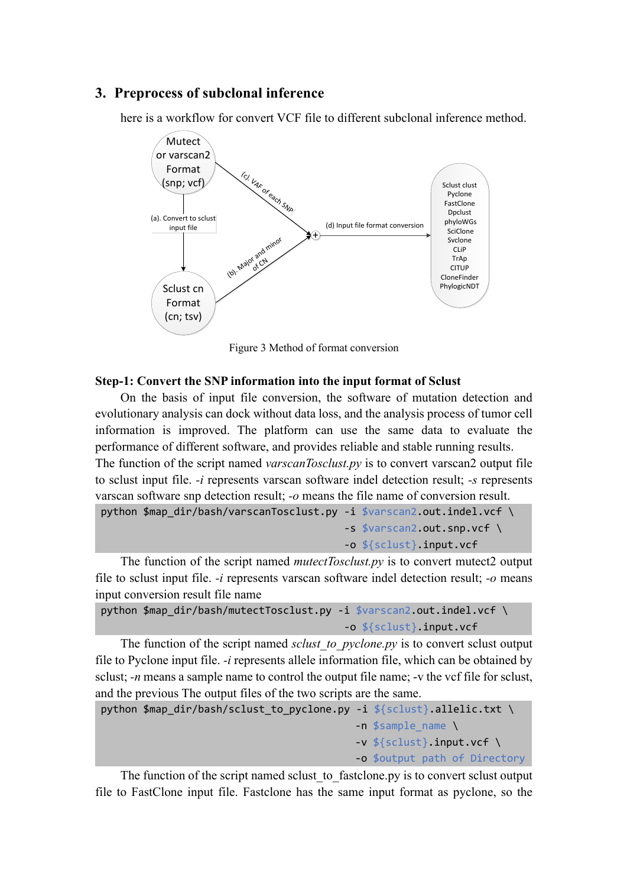## **3. Preprocess of subclonal inference**

here is a workflow for convert VCF file to different subclonal inference method.



Figure 3 Method of format conversion

#### **Step-1: Convert the SNP information into the input format of Sclust**

On the basis of input file conversion, the software of mutation detection and evolutionary analysis can dock without data loss, and the analysis process of tumor cell information is improved. The platform can use the same data to evaluate the performance of different software, and provides reliable and stable running results. The function of the script named *varscanTosclust.py* is to convert varscan2 output file to sclust input file. *-i* represents varscan software indel detection result; *-s* represents varscan software snp detection result; *-o* means the file name of conversion result. python \$map\_dir/bash/varscanTosclust.py -i \$varscan2.out.indel.vcf \

```
 -s $varscan2.out.snp.vcf \
-o ${sclust}.input.vcf
```
The function of the script named *mutectTosclust.py* is to convert mutect2 output file to sclust input file. *-i* represents varscan software indel detection result; *-o* means input conversion result file name

```
python $map_dir/bash/mutectTosclust.py -i $varscan2.out.indel.vcf \
                                        -o ${sclust}.input.vcf
```
The function of the script named *sclust to pyclone.py* is to convert sclust output file to Pyclone input file. *-i* represents allele information file, which can be obtained by sclust; *-n* means a sample name to control the output file name; *-v* the vcf file for sclust, and the previous The output files of the two scripts are the same.

```
python $map dir/bash/sclust to pyclone.py -i ${sclust}.allelic.txt \
                                            -n $sample_name \
                                            -v ${sclust}.input.vcf \
                                           -o $output path of Directory
```
The function of the script named sclust to fastclone.py is to convert sclust output file to FastClone input file. Fastclone has the same input format as pyclone, so the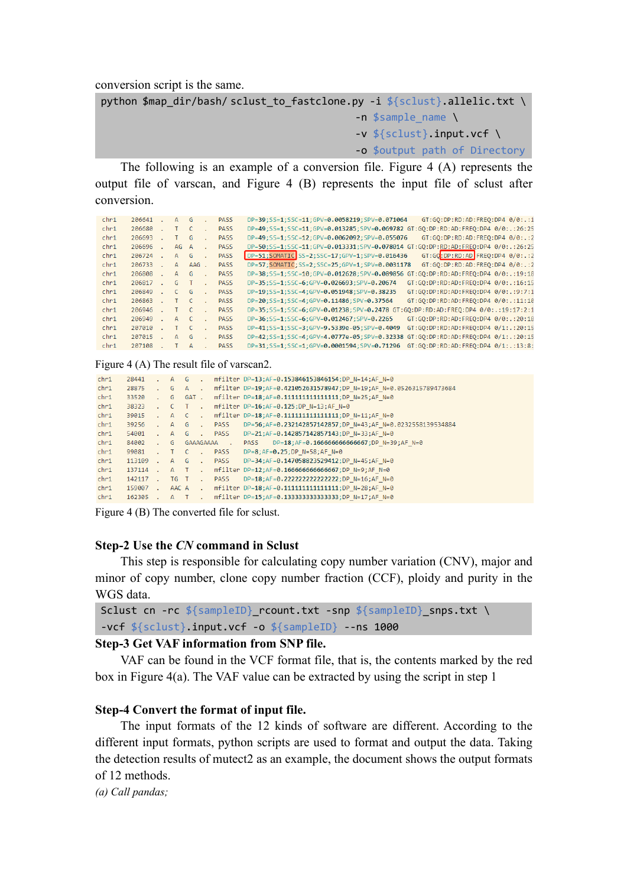conversion script is the same.

```
python $map_dir/bash/ sclust_to_fastclone.py -i ${sclust}.allelic.txt \
                                          -n $sample name \
                                           -v ${sclust}.input.vcf \
                                          -o $output path of Directory
```
The following is an example of a conversion file. Figure 4 (A) represents the output file of varscan, and Figure 4 (B) represents the input file of sclust after conversion.

| chr1 | 206641 | А    | G       | <b>PASS</b> | DP=39; SS=1; SSC=11; GPV=0.0058219; SPV=0.071064<br>GT:GO:DP:RD:AD:FREO:DP4 0/0:.:1      |
|------|--------|------|---------|-------------|------------------------------------------------------------------------------------------|
| chr1 | 206680 |      | C       | <b>PASS</b> | DP=49;SS=1;SSC=11;GPV=0.013285;SPV=0.069782 GT:GO:DP:RD:AD:FREO:DP4 0/0:.:26:25          |
| chr1 | 206693 |      | G       | <b>PASS</b> | DP=49:SS=1:SSC=12:GPV=0.0062092:SPV=0.055076<br>$GT:GO:DP:RD:AD: FREO:DP4 0/0:$ .:2      |
| chr1 | 206696 | AG A |         | <b>PASS</b> | DP=50;SS=1;SSC=11;GPV=0.013331;SPV=0.078014 GT:GO:DP:RD:AD:FREO:DP4 0/0:.:26:25          |
| chr1 | 206724 | А    | G       | <b>PASS</b> | DP=51; SOMATIC SS=2; SSC=17; GPV=1; SPV=0.016436<br>GT:GQ:DP:RD:AD FREQ:DP4 0/0:.:2      |
| chr1 | 206733 | А    | $AAG$ . | <b>PASS</b> | DP=57; SOMATIC; SS=2; SSC=25; GPV=1; SPV=0.0031178<br>$GT:GO:DP:RD:AD:FRED:DP4 0/0:$ .:2 |
| chr1 | 206808 | А    | G       | <b>PASS</b> | DP=38;SS=1;SSC=10;GPV=0.012628;SPV=0.089856 GT:GO:DP:RD:AD:FREO:DP4 0/0:.:19:18          |
| chr1 | 206817 | G    |         | <b>PASS</b> | DP=35; SS=1; SSC=6; GPV=0.026693; SPV=0.20674<br>GT:GO:DP:RD:AD:FREO:DP4 0/0:.:16:15     |
| chr1 | 206849 | C.   | G       | <b>PASS</b> | GT:GO:DP:RD:AD:FREO:DP4 0/0:.:9:7:1<br>DP=19:SS=1:SSC=4:GPV=0.051948:SPV=0.38235         |
| chr1 | 206863 |      | C       | <b>PASS</b> | GT:GO:DP:RD:AD:FREO:DP4 0/0:.:11:10<br>DP=20; SS=1; SSC=4; GPV=0.11486; SPV=0.37564      |
| chr1 | 206946 |      | C       | <b>PASS</b> | DP=35;SS=1;SSC=6;GPV=0.01238;SPV=0.2478 GT:GO:DP:RD:AD:FREO:DP4 0/0:.:19:17:2:1          |
| chr1 | 206949 | А    | C       | <b>PASS</b> | GT:GO:DP:RD:AD:FREO:DP4 0/0:.:20:18<br>$DP = 36$ ; SS=1; SSC=6; GPV=0.012467; SPV=0.2265 |
| chr1 | 207010 |      |         | <b>PASS</b> | GT:GO:DP:RD:AD:FREO:DP4 0/1:.:20:15<br>DP=41:SS=1:SSC=3:GPV=9.5339e-05:SPV=0.4049        |
| chr1 | 207015 | А    | G       | <b>PASS</b> | DP=42; SS=1; SSC=4; GPV=4.0777e-05; SPV=0.32338<br>GT:GO:DP:RD:AD:FREO:DP4 0/1:.:20:15   |
| chr1 | 207108 |      | А       | <b>PASS</b> | DP=31:SS=1:SSC=1:GPV=0.0001594:SPV=0.71296<br>GT:GO:DP:RD:AD:FREO:DP4 0/1:.:13:8:        |

Figure 4 (A) The result file of varscan2.

| chr1 | 28441  |                             | A G            |          | $\sim$               |             | mfilter DP=13;AF=0.153846153846154;DP N=14;AF N=0                  |
|------|--------|-----------------------------|----------------|----------|----------------------|-------------|--------------------------------------------------------------------|
| chr1 | 28875  |                             | G              | A .      |                      |             | mfilter DP=19;AF=0.421052631578947;DP N=19;AF N=0.0526315789473684 |
| chr1 | 33520  |                             | G              | GAT.     |                      |             | mfilter DP=18;AF=0.1111111111111111;DP N=25;AF N=0                 |
| chr1 | 38323  |                             | $\mathsf{C}$   | $\top$ . |                      |             | mfilter DP=16;AF=0.125;DP N=13;AF N=0                              |
| chr1 | 39015  | ÷.                          | A C            |          | $\sim$               |             | mfilter DP=18;AF=0.1111111111111111;DP N=11;AF N=0                 |
| chr1 | 39256  | ÷.                          | A              | G        | $\mathbf{r}$         | <b>PASS</b> | DP=56;AF=0.232142857142857;DP N=43;AF N=0.0232558139534884         |
| chr1 | 54001  | ÷.                          | $A$ $G$        |          | $\sim$               | PASS        | DP=21;AF=0.142857142857143;DP N=33;AF N=0                          |
| chr1 | 84002  | s.                          | G              |          |                      | GAAAGAAAA . | PASS DP=18; AF=0.166666666666667; DP N=39; AF N=0                  |
| chr1 | 99081  |                             | $\blacksquare$ | - C      | $\sim$               | PASS        | $DP = 8$ ; AF=0.25; DP N=58; AF N=0                                |
| chr1 | 113109 | ÷.                          | $A$ $G$        |          | <b>Card Contract</b> | <b>PASS</b> | DP=34;AF=0.147058823529412;DP N=45;AF N=0                          |
| chr1 | 137114 | A.                          | A T            |          | $\sim$               |             | mfilter DP=12;AF=0.166666666666667;DP N=9;AF N=0                   |
| chr1 | 142117 | S.                          | TG T           |          | $\sim$               | PASS        | DP=18;AF=0.2222222222222222;DP N=16;AF N=0                         |
| chr1 | 159007 | $\mathcal{L}^{\mathcal{L}}$ |                |          |                      |             | AAC A . mfilter DP=18; AF=0.11111111111111111; DP N=28; AF N=0     |
| chr1 | 162305 |                             | A T            |          | $\mathbf{r}$         |             | mfilter DP=15;AF=0.133333333333333;DP N=17;AF N=0                  |
|      |        |                             |                |          |                      |             |                                                                    |

Figure 4 (B) The converted file for sclust.

#### **Step-2 Use the** *CN* **command in Sclust**

This step is responsible for calculating copy number variation (CNV), major and minor of copy number, clone copy number fraction (CCF), ploidy and purity in the WGS data.

```
Sclust cn -rc ${sampleID}_rcount.txt -snp ${sampleID}_snps.txt \
-vcf ${sclust}.input.vcf -o ${sampleID} --ns 1000
```
## **Step-3 Get VAF information from SNP file.**

VAF can be found in the VCF format file, that is, the contents marked by the red box in Figure 4(a). The VAF value can be extracted by using the script in step 1

## **Step-4 Convert the format of input file.**

The input formats of the 12 kinds of software are different. According to the different input formats, python scripts are used to format and output the data. Taking the detection results of mutect2 as an example, the document shows the output formats of 12 methods.

*(a) Call pandas;*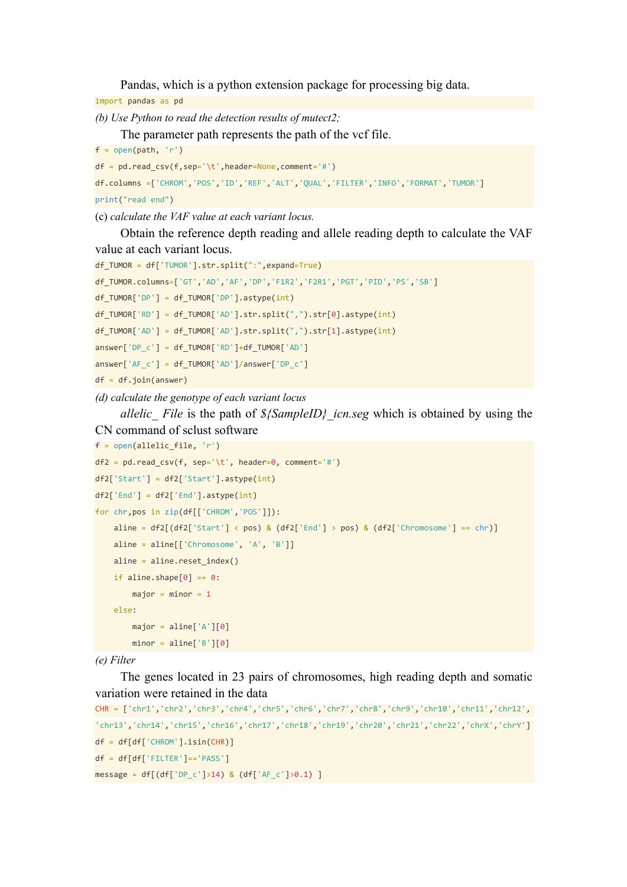Pandas, which is a python extension package for processing big data.

import pandas as pd

*(b) Use Python to read the detection results of mutect2;*

The parameter path represents the path of the vcf file.

```
f = open(path, 'r')
```

```
df = pd.read.csv(f,sep=' \t), header=None, comment=' #')df.columns =['CHROM','POS','ID','REF','ALT','QUAL','FILTER','INFO','FORMAT','TUMOR']
print("read end")
```
#### (c) *calculate the VAF value at each variant locus.*

Obtain the reference depth reading and allele reading depth to calculate the VAF value at each variant locus.

```
df TUMOR = df['TUMOR'].str.split(":",expand=True)
df_TUMOR.columns=['GT','AD','AF','DP','F1R2','F2R1','PGT','PID','PS','SB']
df_TUMOR['DP'] = df_TUMOR['DP'].astype(int)
df_TUMOR['RD'] = df_TUMOR['AD'].str.split(",").str[0].astype(int)
df_TUMOR['AD'] = df_TUMOR['AD'].str.split(",").str[1].astype(int)
answer['DP c'] = df TUMOR['RD'] + df TUMOR['AD']answer['AF_c'] = df_TUMOR['AD']/answer['DP_c']
df = df.join(answer)
```
*(d) calculate the genotype of each variant locus*

*allelic\_ File* is the path of *\${SampleID}\_icn.seg* which is obtained by using the CN command of sclust software

```
f = open(allelic_file, 'r')
df2 = pd.read_csv(f, sep=' \t), header=0, comment='#')df2['Start'] = df2['Start'].astype(int)
df2['End'] = df2['End'].astype(int)
for chr,pos in zip(df[['CHROM','POS']]):
    aline = df2[(df2['Start'] < pos) & (df2['End'] > pos) & (df2['Chromosome'] == chr)]
    aline = aline[[\text{Chromosome}', 'A', 'B']]aline = aline.reset_index()
   if aline.shape[0] == 0:
       major = minor = 1else:
        major = alien['A'][0]minor = alien['B'][0]
```
#### *(e) Filter*

The genes located in 23 pairs of chromosomes, high reading depth and somatic variation were retained in the data

```
CHR = ['chr1','chr2','chr3','chr4','chr5','chr6','chr7','chr8','chr9','chr10','chr11','chr12',
'chr13','chr14','chr15','chr16','chr17','chr18','chr19','chr20','chr21','chr22','chrX','chrY']
df = df[df['CHROM'].isin(CHR)]
df = df[df['FILTER']=='PASS']
message = df[(df['DP_c']>14) & (df['AF_c']>0.1) ]
```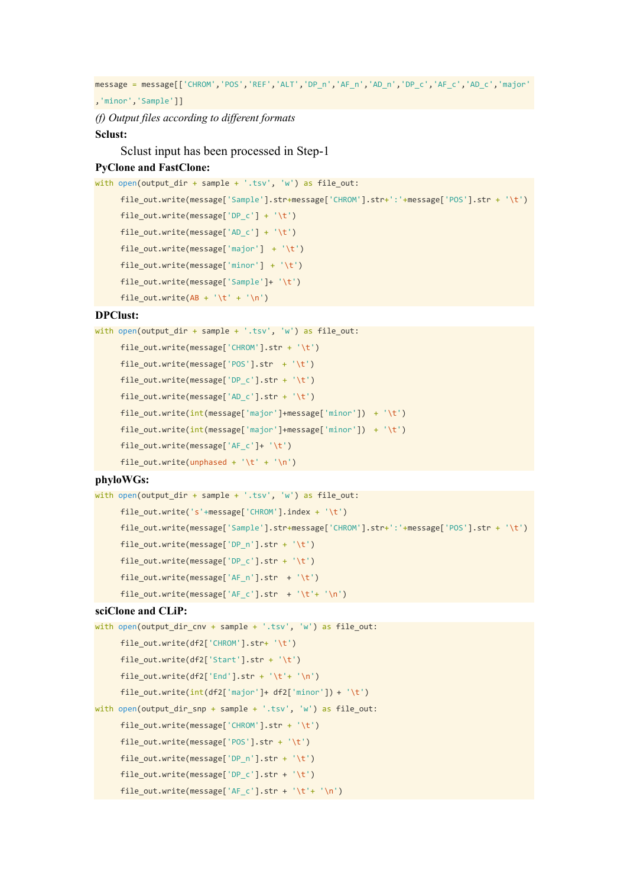message = message[['CHROM','POS','REF','ALT','DP\_n','AF\_n','AD\_n','DP\_c','AF\_c','AD\_c','major'

,'minor','Sample']]

*(f) Output files according to different formats*

## **Sclust:**

Sclust input has been processed in Step-1

## **PyClone and FastClone:**

```
with open(output dir + sample + '.tsv', 'w') as file out:
```

```
file_out.write(message['Sample'].str+message['CHROM'].str+':'+message['POS'].str + '\t')
file out.write(message['DP_c'] + '\t')
file_out.write(message['AD_c'] + '\t')
file out.write(message['major'] + '\t')
file out.write(message['minor'] + '\t')
file_out.write(message['Sample']+ '\t')
```

```
file_out.write(AB + ' \t' + ' \n')
```
#### **DPClust:**

```
with open(output dir + sample + '.tsv', 'w') as file out:
     file_out.write(message['CHROM'].str + '\t')
```

```
file_out.write(message['POS'].str + '\t')
file_out.write(message['DP_c'].str + '\t')
file_out.write(message['AD_c'].str + '\t')
file_out.write(int(message['major']+message['minor']) + '\t')
file_out.write(int(message['major']+message['minor']) + '\t')
file_out.write(message['AF_c']+ '\t')
file_out.write(unphased + '\t' + '\n')
```
#### **phyloWGs:**

```
with open(output_dir + sample + '.tsv', 'w') as file_out:
     file out.write('s'+message['CHROM'].index + '\t')
     file_out.write(message['Sample'].str+message['CHROM'].str+':'+message['POS'].str + '\t')
     file_out.write(message['DP_n'].str + '\t')
     file_out.write(message['DP_c'].str + '\t')
     file_out.write(message['AF_n'].str + '\t')
     file_out.write(message['AF_c'].str + '\t'+ '\n')
```
#### **sciClone and CLiP:**

```
with open(output_dir_cnv + sample + '.tsv', 'w') as file_out:
     file_out.write(df2['CHROM'].str+ '\t')
     file_out.write(df2['Start'].str + '\t')
     file out.write(df2['End'].str + '\t'+ '\n')
     file out.write(int(df2['major']+ df2['minor']) + '\t')
with open(output_dir_snp + sample + '.tsv', 'w') as file_out:
     file_out.write(message['CHROM'].str + '\t')
     file_out.write(message['POS'].str + '\t')
     file_out.write(message['DP_n'].str + '\t')
     file out.write(message['DP_c'].str + '\t')
     file_out.write(message['AF_c'].str + '\t'+ '\n')
```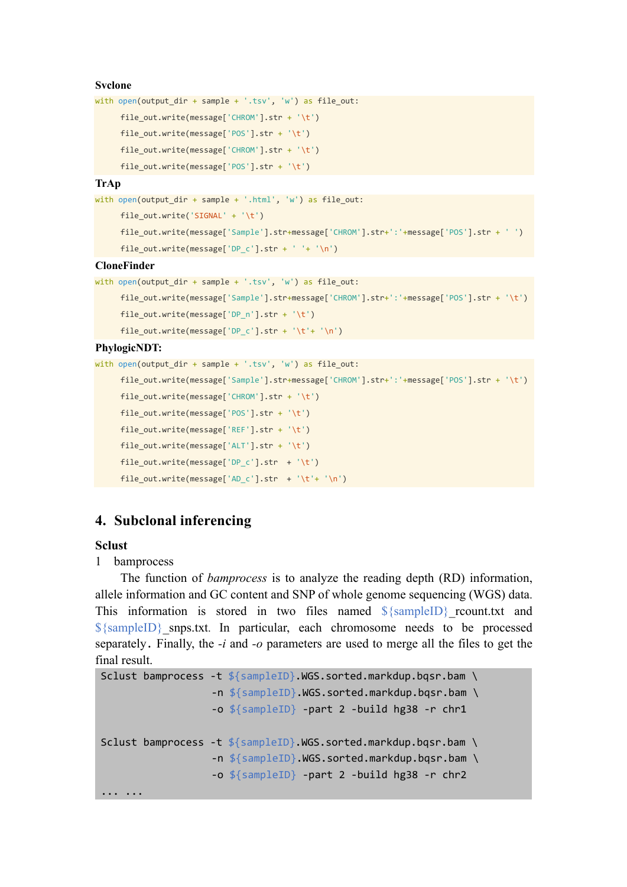### **Svclone**

```
with open(output_dir + sample + '.tsv', 'w') as file_out:
```

```
file_out.write(message['CHROM'].str + '\t')
```

```
file_out.write(message['POS'].str + '\t')
```

```
file_out.write(message['CHROM'].str + '\t')
```

```
file_out.write(message['POS'].str + '\t')
```
## **TrAp**

```
with open(output_dir + sample + '.html', 'w') as file_out:
```

```
file_out.write('SIGNAL' + '\t')
```

```
file_out.write(message['Sample'].str+message['CHROM'].str+':'+message['POS'].str + ' ')
file_out.write(message['DP_c'].str + ' '+ '\n')
```
#### **CloneFinder**

```
with open(output_dir + sample + '.tsv', 'w') as file_out:
```

```
file_out.write(message['Sample'].str+message['CHROM'].str+':'+message['POS'].str + '\t')
file_out.write(message['DP_n'].str + '\t')
```

```
file_out.write(message['DP_c'].str + '\t'+ '\n')
```
## **PhylogicNDT:**

```
with open(output_dir + sample + '.tsv', 'w') as file_out:
```

```
file_out.write(message['Sample'].str+message['CHROM'].str+':'+message['POS'].str + '\t')
file_out.write(message['CHROM'].str + '\t')
file_out.write(message['POS'].str + '\t')
file_out.write(message['REF'].str + '\t')
file_out.write(message['ALT'].str + '\t')
file_out.write(message['DP_c'].str + '\t')
file_out.write(message['AD_c'].str + '\t'+ '\n')
```
## **4. Subclonal inferencing**

## **Sclust**

## 1 bamprocess

The function of *bamprocess* is to analyze the reading depth (RD) information, allele information and GC content and SNP of whole genome sequencing (WGS) data. This information is stored in two files named  $\frac{\sigma}{\sigma}$  (sampleID) reount.txt and  $\{\text{sampleID}\}\$  snps.txt. In particular, each chromosome needs to be processed separately. Finally, the *-i* and *-o* parameters are used to merge all the files to get the final result.

```
Sclust bamprocess -t ${sampleID}.WGS.sorted.markdup.bqsr.bam \
                  -n ${sampleID}.WGS.sorted.markdup.bqsr.bam \
                  -o ${sampleID} -part 2 -build hg38 -r chr1
Sclust bamprocess -t ${sampleID}.WGS.sorted.markdup.bqsr.bam \
                  -n ${sampleID}.WGS.sorted.markdup.bqsr.bam \
                  -o ${sampleID} -part 2 -build hg38 -r chr2
... ...
```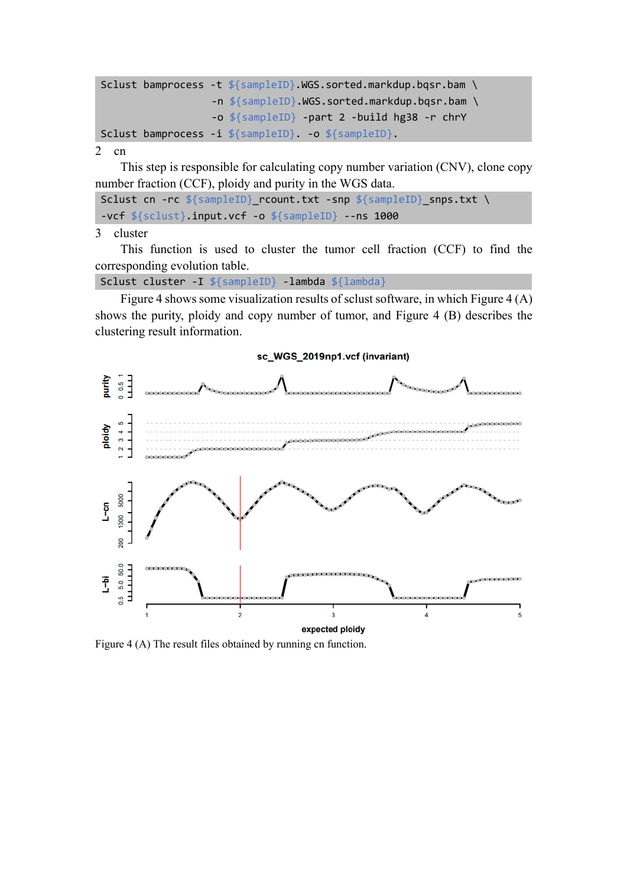```
Sclust bamprocess -t ${sampleID}.WGS.sorted.markdup.bqsr.bam \
                  -n ${sampleID}.WGS.sorted.markdup.bqsr.bam \
                  -o ${sampleID} -part 2 -build hg38 -r chrY
Sclust bamprocess -i ${sampleID}. -o ${sampleID}.
```
2 cn

This step is responsible for calculating copy number variation (CNV), clone copy number fraction (CCF), ploidy and purity in the WGS data.

```
Sclust cn -rc ${sampleID}_rcount.txt -snp ${sampleID}_snps.txt \
-vcf ${sclust}.input.vcf -o ${sampleID} --ns 1000
```
3 cluster

This function is used to cluster the tumor cell fraction (CCF) to find the corresponding evolution table.

Sclust cluster -I \${sampleID} -lambda \${lambda}

Figure 4 shows some visualization results of sclust software, in which Figure 4 (A) shows the purity, ploidy and copy number of tumor, and Figure 4 (B) describes the clustering result information.



Figure 4 (A) The result files obtained by running cn function.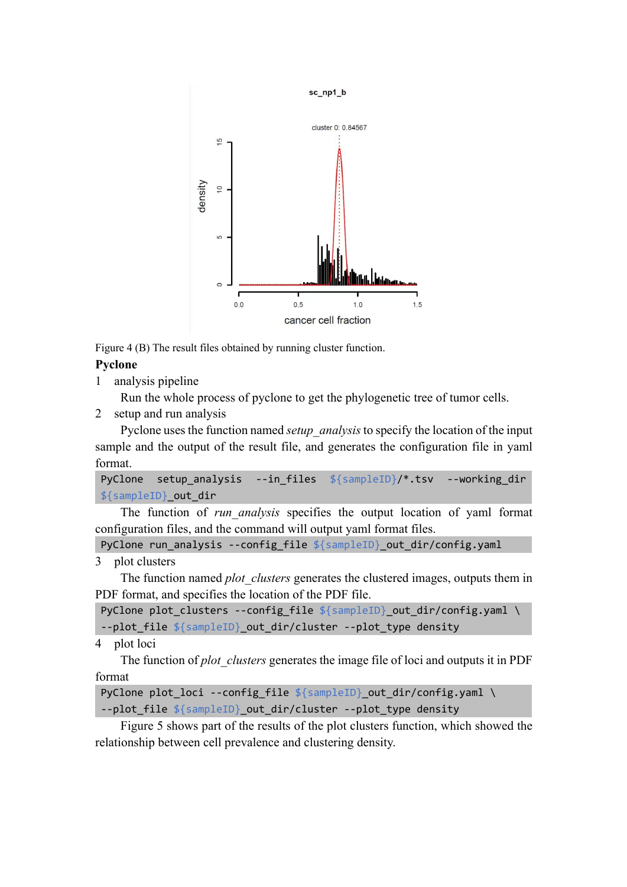

Figure 4 (B) The result files obtained by running cluster function.

## **Pyclone**

1 analysis pipeline

Run the whole process of pyclone to get the phylogenetic tree of tumor cells.

2 setup and run analysis

Pyclone uses the function named *setup\_analysis* to specify the location of the input sample and the output of the result file, and generates the configuration file in yaml format.

```
PyClone setup analysis --in files ${sampleID}/*.tsv --working dir
${sampleID}_out_dir
```
The function of *run\_analysis* specifies the output location of yaml format configuration files, and the command will output yaml format files.

PyClone run\_analysis --config\_file \${sampleID}\_out\_dir/config.yaml

```
3 plot clusters
```
The function named *plot* clusters generates the clustered images, outputs them in PDF format, and specifies the location of the PDF file.

PyClone plot\_clusters --config\_file \${sampleID}\_out\_dir/config.yaml \ --plot\_file \${sampleID}\_out\_dir/cluster --plot\_type density

4 plot loci

The function of *plot\_clusters* generates the image file of loci and outputs it in PDF format

PyClone plot\_loci --config\_file \${sampleID}\_out\_dir/config.yaml \ --plot file \${sampleID}\_out\_dir/cluster --plot\_type density

Figure 5 shows part of the results of the plot clusters function, which showed the relationship between cell prevalence and clustering density.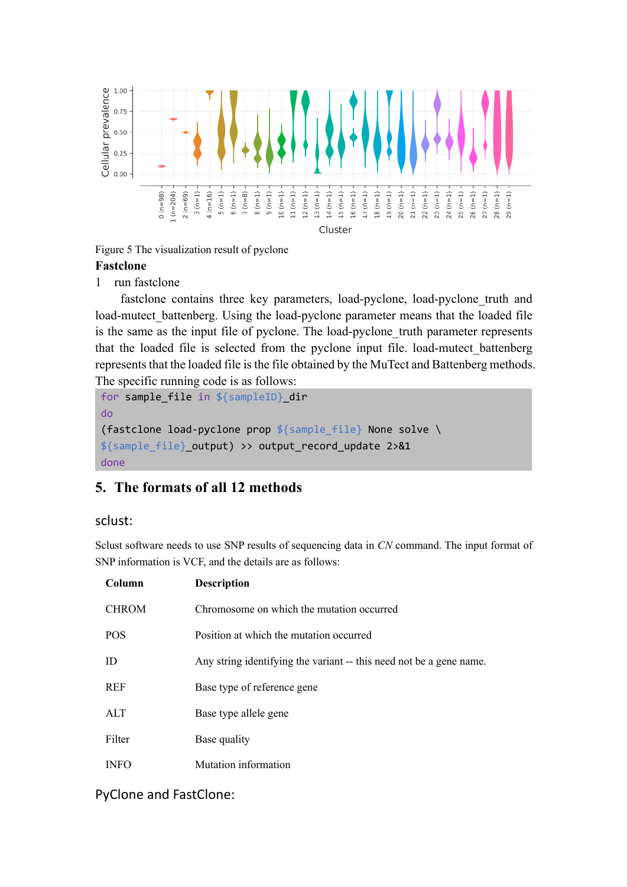

Figure 5 The visualization result of pyclone

## **Fastclone**

1 run fastclone

fastclone contains three key parameters, load-pyclone, load-pyclone truth and load-mutect battenberg. Using the load-pyclone parameter means that the loaded file is the same as the input file of pyclone. The load-pyclone truth parameter represents that the loaded file is selected from the pyclone input file. load-mutect\_battenberg represents that the loaded file is the file obtained by the MuTect and Battenberg methods. The specific running code is as follows:

```
for sample_file in ${sampleID}_dir
do
(fastclone load-pyclone prop ${sample_file} None solve \
${sample_file}_output) >> output_record_update 2>&1
done
```
# **5. The formats of all 12 methods**

## sclust:

Sclust software needs to use SNP results of sequencing data in *CN* command. The input format of SNP information is VCF, and the details are as follows:

| Column       | <b>Description</b>                                                  |
|--------------|---------------------------------------------------------------------|
| <b>CHROM</b> | Chromosome on which the mutation occurred                           |
| <b>POS</b>   | Position at which the mutation occurred                             |
| ID           | Any string identifying the variant -- this need not be a gene name. |
| <b>REF</b>   | Base type of reference gene                                         |
| ALT          | Base type allele gene                                               |
| Filter       | Base quality                                                        |
| <b>INFO</b>  | Mutation information                                                |

## PyClone and FastClone: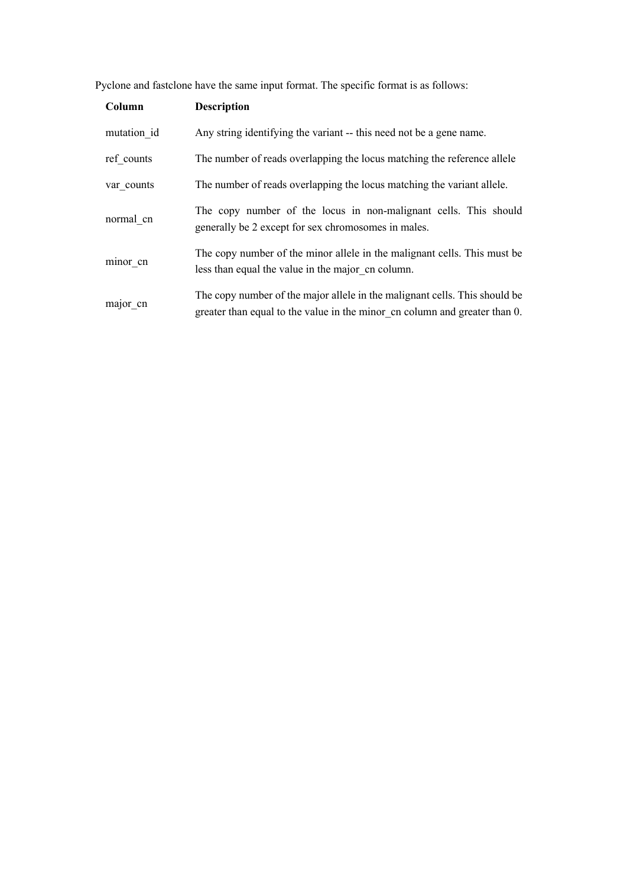Pyclone and fastclone have the same input format. The specific format is as follows:

| Column      | <b>Description</b>                                                                                                                                       |
|-------------|----------------------------------------------------------------------------------------------------------------------------------------------------------|
| mutation id | Any string identifying the variant -- this need not be a gene name.                                                                                      |
| ref counts  | The number of reads overlapping the locus matching the reference allele                                                                                  |
| var counts  | The number of reads overlapping the locus matching the variant allele.                                                                                   |
| normal cn   | The copy number of the locus in non-malignant cells. This should<br>generally be 2 except for sex chromosomes in males.                                  |
| minor cn    | The copy number of the minor allele in the malignant cells. This must be<br>less than equal the value in the major on column.                            |
| major cn    | The copy number of the major allele in the malignant cells. This should be<br>greater than equal to the value in the minor on column and greater than 0. |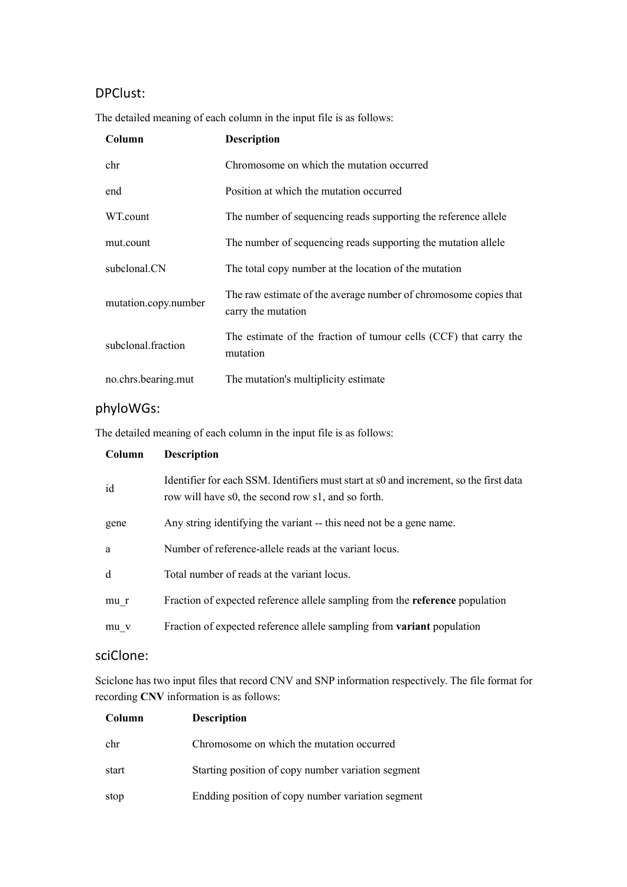# DPClust:

The detailed meaning of each column in the input file is as follows:

| Column               | <b>Description</b>                                                                     |
|----------------------|----------------------------------------------------------------------------------------|
| chr                  | Chromosome on which the mutation occurred                                              |
| end                  | Position at which the mutation occurred                                                |
| WT.count             | The number of sequencing reads supporting the reference allele                         |
| mut.count            | The number of sequencing reads supporting the mutation allele                          |
| subclonal.CN         | The total copy number at the location of the mutation                                  |
| mutation.copy.number | The raw estimate of the average number of chromosome copies that<br>carry the mutation |
| subclonal fraction   | The estimate of the fraction of tumour cells (CCF) that carry the<br>mutation          |
| no.chrs.bearing.mut  | The mutation's multiplicity estimate                                                   |

# phyloWGs:

The detailed meaning of each column in the input file is as follows:

| Column | <b>Description</b>                                                                                                                           |
|--------|----------------------------------------------------------------------------------------------------------------------------------------------|
| id     | Identifier for each SSM. Identifiers must start at s0 and increment, so the first data<br>row will have s0, the second row s1, and so forth. |
| gene   | Any string identifying the variant -- this need not be a gene name.                                                                          |
| a      | Number of reference-allele reads at the variant locus.                                                                                       |
| d      | Total number of reads at the variant locus.                                                                                                  |
| mu r   | Fraction of expected reference allele sampling from the <b>reference</b> population                                                          |
| mu v   | Fraction of expected reference allele sampling from variant population                                                                       |

## sciClone:

Sciclone has two input files that record CNV and SNP information respectively. The file format for recording **CNV** information is as follows:

| Column | <b>Description</b>                                 |
|--------|----------------------------------------------------|
| chr    | Chromosome on which the mutation occurred          |
| start  | Starting position of copy number variation segment |
| stop   | Endding position of copy number variation segment  |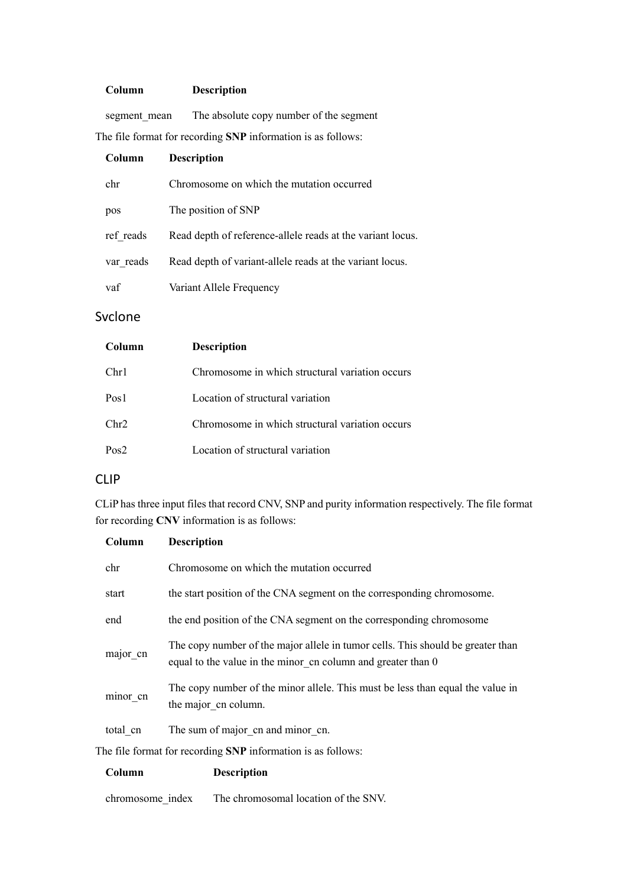#### **Column Description**

segment\_mean The absolute copy number of the segment

The file format for recording **SNP** information is as follows:

| Column    | <b>Description</b>                                         |
|-----------|------------------------------------------------------------|
| chr       | Chromosome on which the mutation occurred                  |
| pos       | The position of SNP                                        |
| ref reads | Read depth of reference-allele reads at the variant locus. |
| var reads | Read depth of variant-allele reads at the variant locus.   |
| vaf       | Variant Allele Frequency                                   |

## Svclone

| Column  | <b>Description</b>                              |
|---------|-------------------------------------------------|
| Chr1    | Chromosome in which structural variation occurs |
| Pos1    | Location of structural variation                |
| Chr2    | Chromosome in which structural variation occurs |
| $P_0s2$ | Location of structural variation                |

chromosome\_index The chromosomal location of the SNV.

## CLIP

CLiP has three input files that record CNV, SNP and purity information respectively. The file format for recording **CNV** information is as follows:

| Column                                                       | <b>Description</b>                                                                                                                              |  |  |
|--------------------------------------------------------------|-------------------------------------------------------------------------------------------------------------------------------------------------|--|--|
| chr                                                          | Chromosome on which the mutation occurred                                                                                                       |  |  |
| start                                                        | the start position of the CNA segment on the corresponding chromosome.                                                                          |  |  |
| end                                                          | the end position of the CNA segment on the corresponding chromosome                                                                             |  |  |
| major cn                                                     | The copy number of the major allele in tumor cells. This should be greater than<br>equal to the value in the minor cn column and greater than 0 |  |  |
| minor_cn                                                     | The copy number of the minor allele. This must be less than equal the value in<br>the major cn column.                                          |  |  |
| total cn                                                     | The sum of major cn and minor cn.                                                                                                               |  |  |
| The file format for recording SNP information is as follows: |                                                                                                                                                 |  |  |
| Column                                                       | <b>Description</b>                                                                                                                              |  |  |